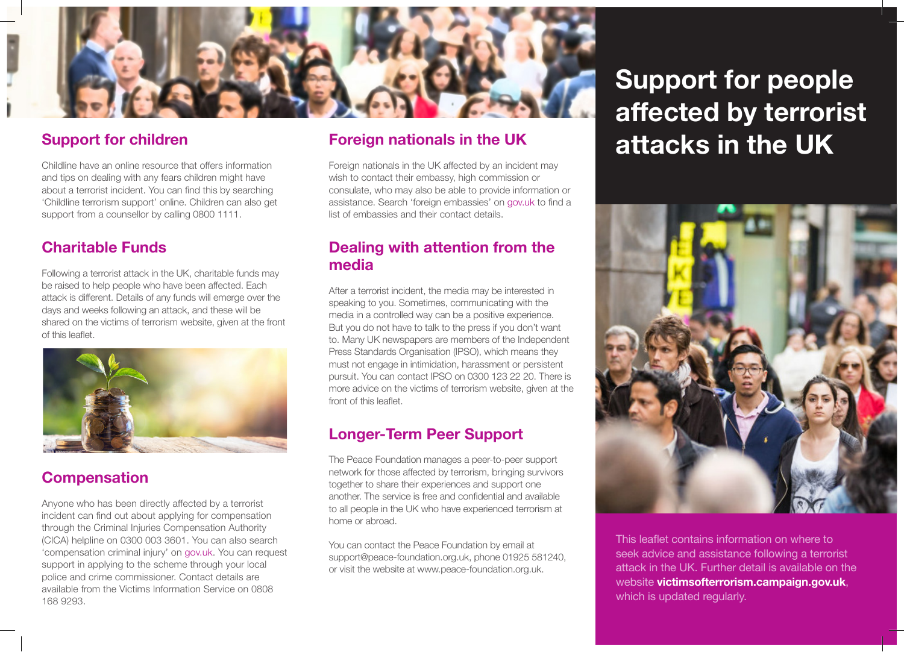

## **Support for children**

Childline have an online resource that offers information and tips on dealing with any fears children might have about a terrorist incident. You can find this by searching 'Childline terrorism support' online. Children can also get support from a counsellor by calling 0800 1111.

# **Charitable Funds**

Following a terrorist attack in the UK, charitable funds may be raised to help people who have been affected. Each attack is different. Details of any funds will emerge over the days and weeks following an attack, and these will be shared on the victims of terrorism website, given at the front of this leaflet.



# **Compensation**

Anyone who has been directly affected by a terrorist incident can find out about applying for compensation through the Criminal Injuries Compensation Authority (CICA) helpline on 0300 003 3601. You can also search 'compensation criminal injury' on gov.uk. You can request support in applying to the scheme through your local police and crime commissioner. Contact details are available from the Victims Information Service on 0808 168 9293.

## **Foreign nationals in the UK**

Foreign nationals in the UK affected by an incident may wish to contact their embassy, high commission or consulate, who may also be able to provide information or assistance. Search 'foreign embassies' on gov.uk to find a list of embassies and their contact details.

## **Dealing with attention from the media**

After a terrorist incident, the media may be interested in speaking to you. Sometimes, communicating with the media in a controlled way can be a positive experience. But you do not have to talk to the press if you don't want to. Many UK newspapers are members of the Independent Press Standards Organisation (IPSO), which means they must not engage in intimidation, harassment or persistent pursuit. You can contact IPSO on 0300 123 22 20. There is more advice on the victims of terrorism website, given at the front of this leaflet.

## **Longer-Term Peer Support**

The Peace Foundation manages a peer-to-peer support network for those affected by terrorism, bringing survivors together to share their experiences and support one another. The service is free and confidential and available to all people in the UK who have experienced terrorism at home or abroad.

You can contact the Peace Foundation by email at support@peace-foundation.org.uk, phone 01925 581240, or visit the website at www.peace-foundation.org.uk.

# **Support for people affected by terrorist attacks in the UK**



This leaflet contains information on where to seek advice and assistance following a terrorist attack in the UK. Further detail is available on the website **victimsofterrorism.campaign.gov.uk**, which is updated regularly.